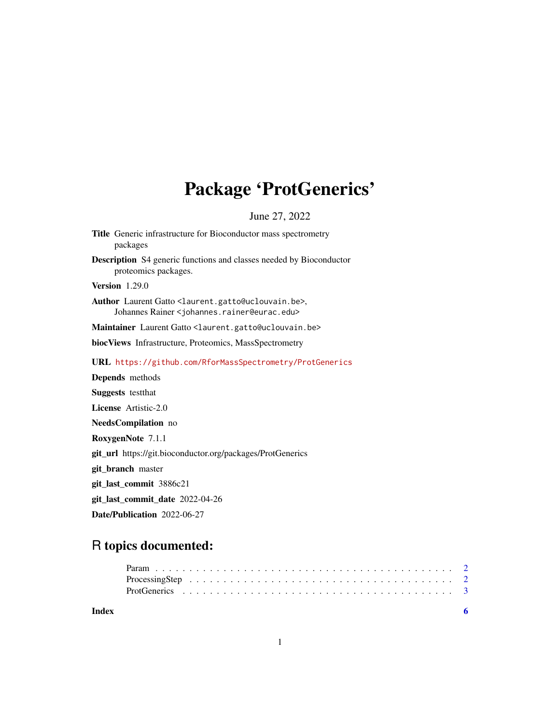# Package 'ProtGenerics'

June 27, 2022

<span id="page-0-0"></span>

| Title Generic infrastructure for Bioconductor mass spectrometry<br>packages                                                            |
|----------------------------------------------------------------------------------------------------------------------------------------|
| <b>Description</b> S4 generic functions and classes needed by Bioconductor<br>proteomics packages.                                     |
| <b>Version</b> 1.29.0                                                                                                                  |
| Author Laurent Gatto <laurent.gatto@uclouvain.be>,<br/>Johannes Rainer &lt; johannes.rainer@eurac.edu&gt;</laurent.gatto@uclouvain.be> |
| Maintainer Laurent Gatto <laurent.gatto@uclouvain.be></laurent.gatto@uclouvain.be>                                                     |
| biocViews Infrastructure, Proteomics, MassSpectrometry                                                                                 |
| URL https://github.com/RforMassSpectrometry/ProtGenerics                                                                               |
| Depends methods                                                                                                                        |
| <b>Suggests</b> test that                                                                                                              |
| <b>License</b> Artistic-2.0                                                                                                            |
| NeedsCompilation no                                                                                                                    |
| RoxygenNote 7.1.1                                                                                                                      |
| git_url https://git.bioconductor.org/packages/ProtGenerics                                                                             |
| git_branch master                                                                                                                      |
| git_last_commit 3886c21                                                                                                                |
| git_last_commit_date 2022-04-26                                                                                                        |
| Date/Publication 2022-06-27                                                                                                            |

# R topics documented: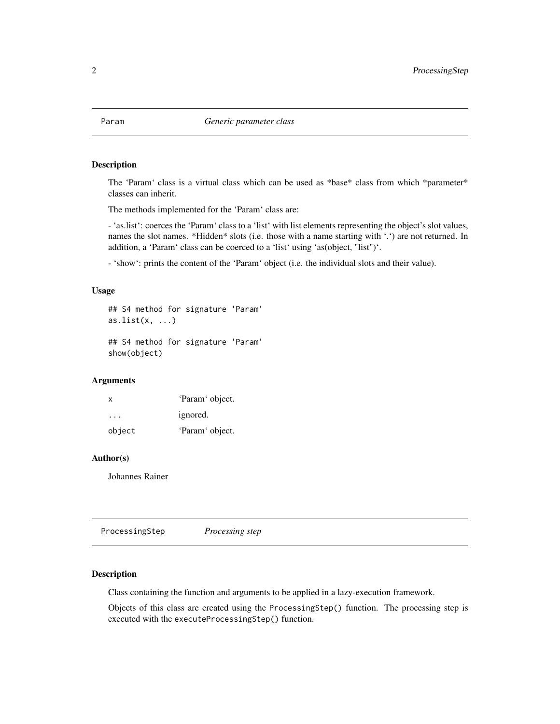<span id="page-1-0"></span>

#### Description

The 'Param' class is a virtual class which can be used as \*base\* class from which \*parameter\* classes can inherit.

The methods implemented for the 'Param' class are:

- 'as.list': coerces the 'Param' class to a 'list' with list elements representing the object's slot values, names the slot names. \*Hidden\* slots (i.e. those with a name starting with '.') are not returned. In addition, a 'Param' class can be coerced to a 'list' using 'as(object, "list")'.

- 'show': prints the content of the 'Param' object (i.e. the individual slots and their value).

#### Usage

```
## S4 method for signature 'Param'
as.list(x, \ldots)## S4 method for signature 'Param'
```
show(object)

## Arguments

| x      | 'Param' object. |
|--------|-----------------|
| .      | ignored.        |
| object | 'Param' object. |

#### Author(s)

Johannes Rainer

ProcessingStep *Processing step*

# **Description**

Class containing the function and arguments to be applied in a lazy-execution framework.

Objects of this class are created using the ProcessingStep() function. The processing step is executed with the executeProcessingStep() function.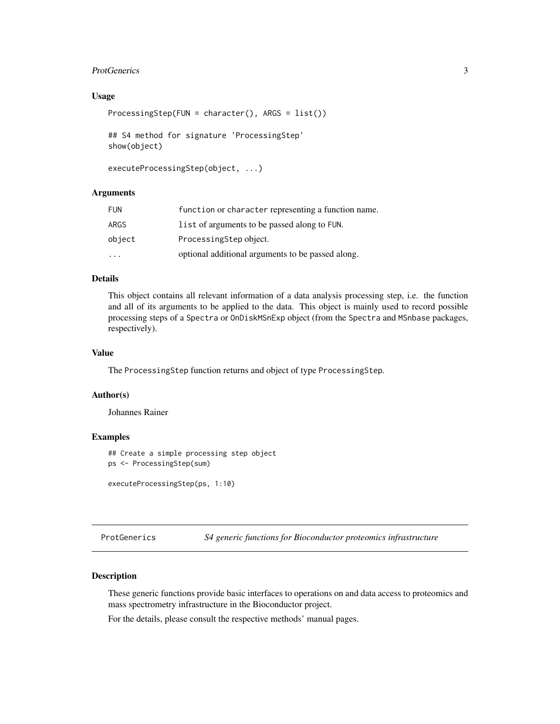#### <span id="page-2-0"></span>ProtGenerics 3

#### Usage

```
ProcessingStep(FUN = character(), ARGS = list())
```

```
## S4 method for signature 'ProcessingStep'
show(object)
```

```
executeProcessingStep(object, ...)
```
#### Arguments

| FUN    | function or character representing a function name. |
|--------|-----------------------------------------------------|
| ARGS   | list of arguments to be passed along to FUN.        |
| object | ProcessingStep object.                              |
| .      | optional additional arguments to be passed along.   |

# Details

This object contains all relevant information of a data analysis processing step, i.e. the function and all of its arguments to be applied to the data. This object is mainly used to record possible processing steps of a Spectra or OnDiskMSnExp object (from the Spectra and MSnbase packages, respectively).

## Value

The ProcessingStep function returns and object of type ProcessingStep.

#### Author(s)

Johannes Rainer

# Examples

## Create a simple processing step object ps <- ProcessingStep(sum)

executeProcessingStep(ps, 1:10)

ProtGenerics *S4 generic functions for Bioconductor proteomics infrastructure*

#### Description

These generic functions provide basic interfaces to operations on and data access to proteomics and mass spectrometry infrastructure in the Bioconductor project.

For the details, please consult the respective methods' manual pages.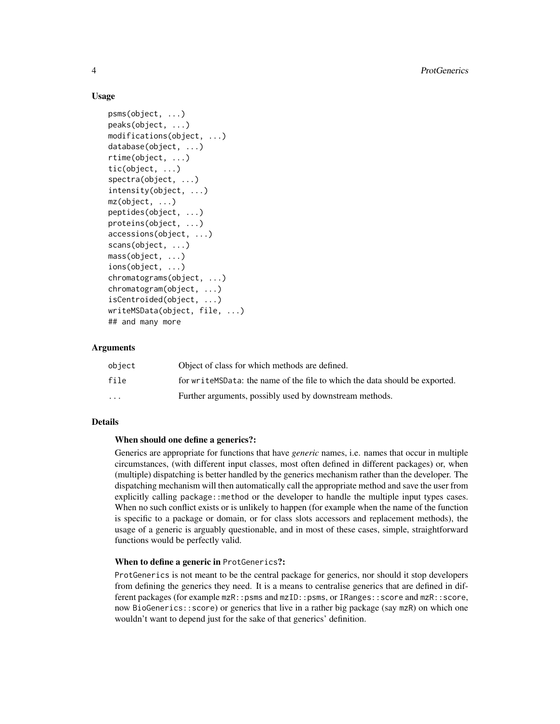#### Usage

```
psms(object, ...)
peaks(object, ...)
modifications(object, ...)
database(object, ...)
rtime(object, ...)
tic(object, ...)
spectra(object, ...)
intensity(object, ...)
mz(object, ...)
peptides(object, ...)
proteins(object, ...)
accessions(object, ...)
scans(object, ...)
mass(object, ...)
ions(object, ...)
chromatograms(object, ...)
chromatogram(object, ...)
isCentroided(object, ...)
writeMSData(object, file, ...)
## and many more
```
#### **Arguments**

| object                  | Object of class for which methods are defined.                                 |
|-------------------------|--------------------------------------------------------------------------------|
| file                    | for write MSD at a: the name of the file to which the data should be exported. |
| $\cdot$ $\cdot$ $\cdot$ | Further arguments, possibly used by downstream methods.                        |

#### Details

#### When should one define a generics?:

Generics are appropriate for functions that have *generic* names, i.e. names that occur in multiple circumstances, (with different input classes, most often defined in different packages) or, when (multiple) dispatching is better handled by the generics mechanism rather than the developer. The dispatching mechanism will then automatically call the appropriate method and save the user from explicitly calling package::method or the developer to handle the multiple input types cases. When no such conflict exists or is unlikely to happen (for example when the name of the function is specific to a package or domain, or for class slots accessors and replacement methods), the usage of a generic is arguably questionable, and in most of these cases, simple, straightforward functions would be perfectly valid.

#### When to define a generic in ProtGenerics?:

ProtGenerics is not meant to be the central package for generics, nor should it stop developers from defining the generics they need. It is a means to centralise generics that are defined in different packages (for example mzR::psms and mzID::psms, or IRanges::score and mzR::score, now BioGenerics::score) or generics that live in a rather big package (say mzR) on which one wouldn't want to depend just for the sake of that generics' definition.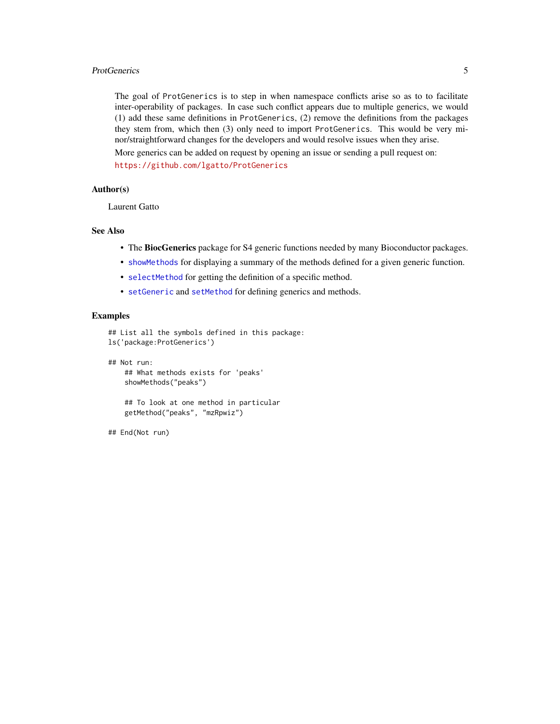#### <span id="page-4-0"></span>ProtGenerics 5

The goal of ProtGenerics is to step in when namespace conflicts arise so as to to facilitate inter-operability of packages. In case such conflict appears due to multiple generics, we would (1) add these same definitions in ProtGenerics, (2) remove the definitions from the packages they stem from, which then (3) only need to import ProtGenerics. This would be very minor/straightforward changes for the developers and would resolve issues when they arise.

More generics can be added on request by opening an issue or sending a pull request on: <https://github.com/lgatto/ProtGenerics>

#### Author(s)

Laurent Gatto

# See Also

- The BiocGenerics package for S4 generic functions needed by many Bioconductor packages.
- [showMethods](#page-0-0) for displaying a summary of the methods defined for a given generic function.
- [selectMethod](#page-0-0) for getting the definition of a specific method.
- [setGeneric](#page-0-0) and [setMethod](#page-0-0) for defining generics and methods.

## Examples

```
## List all the symbols defined in this package:
ls('package:ProtGenerics')
```
## Not run:

## What methods exists for 'peaks' showMethods("peaks")

## To look at one method in particular getMethod("peaks", "mzRpwiz")

## End(Not run)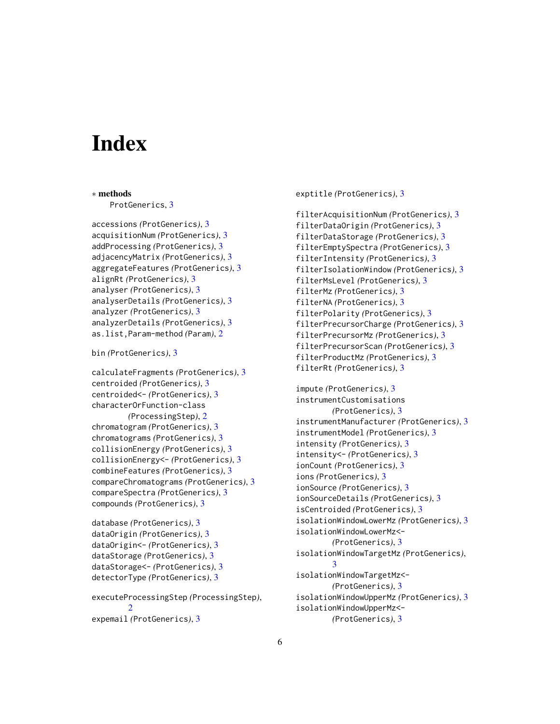# <span id="page-5-0"></span>**Index**

```
∗ methods
    ProtGenerics, 3
accessions (ProtGenerics), 3
acquisitionNum (ProtGenerics), 3
addProcessing (ProtGenerics), 3
adjacencyMatrix (ProtGenerics), 3
aggregateFeatures (ProtGenerics), 3
alignRt (ProtGenerics), 3
analyser (ProtGenerics), 3
analyserDetails (ProtGenerics), 3
analyzer (ProtGenerics), 3
analyzerDetails (ProtGenerics), 3
as.list,Param-method (Param), 2
bin (ProtGenerics), 3
calculateFragments (ProtGenerics), 3
centroided (ProtGenerics), 3
centroided<- (ProtGenerics), 3
characterOrFunction-class
        (ProcessingStep), 2
chromatogram (ProtGenerics), 3
chromatograms (ProtGenerics), 3
collisionEnergy (ProtGenerics), 3
collisionEnergy<- (ProtGenerics), 3
combineFeatures (ProtGenerics), 3
compareChromatograms (ProtGenerics), 3
compareSpectra (ProtGenerics), 3
compounds (ProtGenerics), 3
database (ProtGenerics), 3
```

```
dataOrigin (ProtGenerics), 3
dataOrigin<- (ProtGenerics), 3
dataStorage (ProtGenerics), 3
dataStorage<- (ProtGenerics), 3
detectorType (ProtGenerics), 3
```
executeProcessingStep *(*ProcessingStep*)*, [2](#page-1-0) expemail *(*ProtGenerics*)*, [3](#page-2-0)

exptitle *(*ProtGenerics*)*, [3](#page-2-0)

```
filterAcquisitionNum (ProtGenerics), 3
filterDataOrigin (ProtGenerics), 3
filterDataStorage (ProtGenerics), 3
filterEmptySpectra (ProtGenerics), 3
filterIntensity (ProtGenerics), 3
filterIsolationWindow (ProtGenerics), 3
filterMsLevel (ProtGenerics), 3
filterMz (ProtGenerics), 3
filterNA (ProtGenerics), 3
filterPolarity (ProtGenerics), 3
filterPrecursorCharge (ProtGenerics), 3
filterPrecursorMz (ProtGenerics), 3
filterPrecursorScan (ProtGenerics), 3
filterProductMz (ProtGenerics), 3
filterRt (ProtGenerics), 3
```

```
impute (ProtGenerics), 3
instrumentCustomisations
        (ProtGenerics), 3
instrumentManufacturer (ProtGenerics), 3
instrumentModel (ProtGenerics), 3
intensity (ProtGenerics), 3
intensity<- (ProtGenerics), 3
ionCount (ProtGenerics), 3
ions (ProtGenerics), 3
ionSource (ProtGenerics), 3
ionSourceDetails (ProtGenerics), 3
isCentroided (ProtGenerics), 3
isolationWindowLowerMz (ProtGenerics), 3
isolationWindowLowerMz<-
        (ProtGenerics), 3
isolationWindowTargetMz (ProtGenerics),
        3
isolationWindowTargetMz<-
        (ProtGenerics), 3
isolationWindowUpperMz (ProtGenerics), 3
isolationWindowUpperMz<-
        (ProtGenerics), 3
```